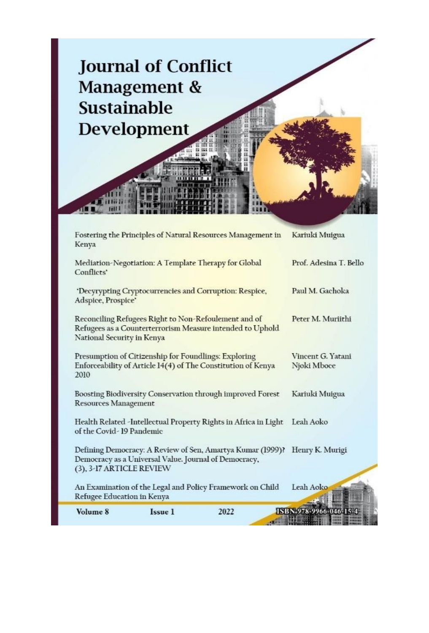

| Volume 8                                                                                                                                        | Issue 1                                               | 2022                                                       | ISBN 978-9966-046-1              |
|-------------------------------------------------------------------------------------------------------------------------------------------------|-------------------------------------------------------|------------------------------------------------------------|----------------------------------|
| Refugee Education in Kenya                                                                                                                      |                                                       | An Examination of the Legal and Policy Framework on Child  | Leah Aoko                        |
| (3), 3-17 ARTICLE REVIEW                                                                                                                        | Democracy as a Universal Value. Journal of Democracy, |                                                            |                                  |
|                                                                                                                                                 |                                                       | Defining Democracy: A Review of Sen, Amartya Kumar (1999)? | Henry K. Murigi                  |
| Health Related -Intellectual Property Rights in Africa in Light<br>of the Covid-19 Pandemic                                                     |                                                       |                                                            | Leah Aoko                        |
| Boosting Biodiversity Conservation through improved Forest<br><b>Resources Management</b>                                                       |                                                       |                                                            | Kariuki Muigua                   |
| Presumption of Citizenship for Foundlings: Exploring<br>Enforceability of Article 14(4) of The Constitution of Kenya<br>2010                    |                                                       |                                                            | Vincent G. Yatani<br>Njoki Mboce |
| Reconciling Refugees Right to Non-Refoulement and of<br>Refugees as a Counterterrorism Measure intended to Uphold<br>National Security in Kenya |                                                       |                                                            | Peter M. Muriithi                |
| 'Decyrypting Cryptocurrencies and Corruption: Respice,<br>Adspice, Prospice'                                                                    |                                                       |                                                            | Paul M. Gachoka                  |
| Mediation-Negotiation: A Template Therapy for Global<br>Conflicts'                                                                              |                                                       |                                                            | Prof. Adesina T. Bello           |
| Fostering the Principles of Natural Resources Management in<br>Kenya                                                                            |                                                       |                                                            | Kariuki Muigua                   |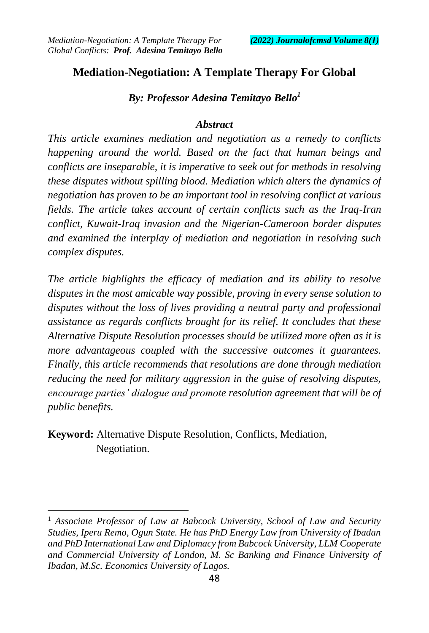## **Mediation-Negotiation: A Template Therapy For Global**

*By: Professor Adesina Temitayo Bello<sup>1</sup>*

#### *Abstract*

*This article examines mediation and negotiation as a remedy to conflicts happening around the world. Based on the fact that human beings and conflicts are inseparable, it is imperative to seek out for methods in resolving these disputes without spilling blood. Mediation which alters the dynamics of negotiation has proven to be an important tool in resolving conflict at various fields. The article takes account of certain conflicts such as the Iraq-Iran conflict, Kuwait-Iraq invasion and the Nigerian-Cameroon border disputes and examined the interplay of mediation and negotiation in resolving such complex disputes.* 

*The article highlights the efficacy of mediation and its ability to resolve disputes in the most amicable way possible, proving in every sense solution to disputes without the loss of lives providing a neutral party and professional assistance as regards conflicts brought for its relief. It concludes that these Alternative Dispute Resolution processes should be utilized more often as it is more advantageous coupled with the successive outcomes it guarantees. Finally, this article recommends that resolutions are done through mediation reducing the need for military aggression in the guise of resolving disputes, encourage parties' dialogue and promote resolution agreement that will be of public benefits.*

**Keyword:** Alternative Dispute Resolution, Conflicts, Mediation, Negotiation.

<sup>&</sup>lt;sup>1</sup> Associate Professor of Law at Babcock University, School of Law and Security *Studies, Iperu Remo, Ogun State. He has PhD Energy Law from University of Ibadan and PhD International Law and Diplomacy from Babcock University, LLM Cooperate and Commercial University of London, M. Sc Banking and Finance University of Ibadan, M.Sc. Economics University of Lagos.*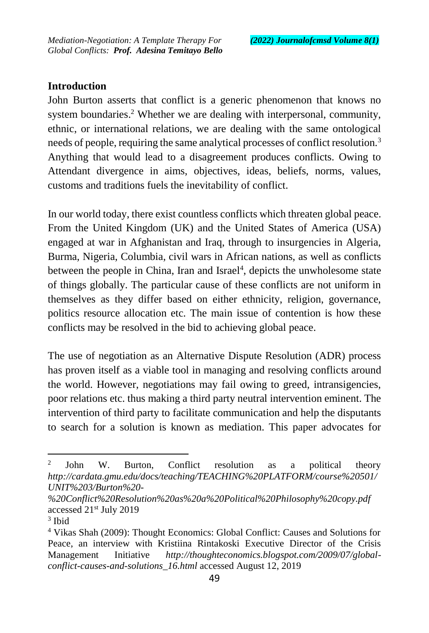# **Introduction**

John Burton asserts that conflict is a generic phenomenon that knows no system boundaries. <sup>2</sup> Whether we are dealing with interpersonal, community, ethnic, or international relations, we are dealing with the same ontological needs of people, requiring the same analytical processes of conflict resolution.<sup>3</sup> Anything that would lead to a disagreement produces conflicts. Owing to Attendant divergence in aims, objectives, ideas, beliefs, norms, values, customs and traditions fuels the inevitability of conflict.

In our world today, there exist countless conflicts which threaten global peace. From the United Kingdom (UK) and the United States of America (USA) engaged at war in Afghanistan and Iraq, through to insurgencies in Algeria, Burma, Nigeria, Columbia, civil wars in African nations, as well as conflicts between the people in China, Iran and Israel<sup>4</sup>, depicts the unwholesome state of things globally. The particular cause of these conflicts are not uniform in themselves as they differ based on either ethnicity, religion, governance, politics resource allocation etc. The main issue of contention is how these conflicts may be resolved in the bid to achieving global peace.

The use of negotiation as an Alternative Dispute Resolution (ADR) process has proven itself as a viable tool in managing and resolving conflicts around the world. However, negotiations may fail owing to greed, intransigencies, poor relations etc. thus making a third party neutral intervention eminent. The intervention of third party to facilitate communication and help the disputants to search for a solution is known as mediation. This paper advocates for

<sup>2</sup> John W. Burton, Conflict resolution as a political theory *http://cardata.gmu.edu/docs/teaching/TEACHING%20PLATFORM/course%20501/ UNIT%203/Burton%20-*

*<sup>%20</sup>Conflict%20Resolution%20as%20a%20Political%20Philosophy%20copy.pdf* accessed 21st July 2019

<sup>3</sup> Ibid

<sup>4</sup> Vikas Shah (2009): Thought Economics: Global Conflict: Causes and Solutions for Peace, an interview with Kristiina Rintakoski Executive Director of the Crisis Management Initiative *http://thoughteconomics.blogspot.com/2009/07/globalconflict-causes-and-solutions\_16.html* accessed August 12, 2019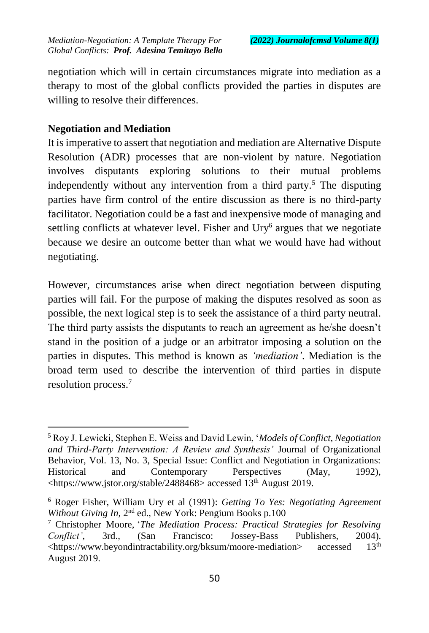negotiation which will in certain circumstances migrate into mediation as a therapy to most of the global conflicts provided the parties in disputes are willing to resolve their differences.

# **Negotiation and Mediation**

 $\overline{a}$ 

It is imperative to assert that negotiation and mediation are Alternative Dispute Resolution (ADR) processes that are non-violent by nature. Negotiation involves disputants exploring solutions to their mutual problems independently without any intervention from a third party.<sup>5</sup> The disputing parties have firm control of the entire discussion as there is no third-party facilitator. Negotiation could be a fast and inexpensive mode of managing and settling conflicts at whatever level. Fisher and Ury<sup>6</sup> argues that we negotiate because we desire an outcome better than what we would have had without negotiating.

However, circumstances arise when direct negotiation between disputing parties will fail. For the purpose of making the disputes resolved as soon as possible, the next logical step is to seek the assistance of a third party neutral. The third party assists the disputants to reach an agreement as he/she doesn't stand in the position of a judge or an arbitrator imposing a solution on the parties in disputes. This method is known as *'mediation'*. Mediation is the broad term used to describe the intervention of third parties in dispute resolution process.<sup>7</sup>

<sup>5</sup> Roy J. Lewicki, Stephen E. Weiss and David Lewin, '*Models of Conflict, Negotiation and Third-Party Intervention: A Review and Synthesis'* Journal of Organizational Behavior, Vol. 13, No. 3, Special Issue: Conflict and Negotiation in Organizations: Historical and Contemporary Perspectives (May, 1992), <https://www.jstor.org/stable/2488468> accessed 13th August 2019.

<sup>6</sup> Roger Fisher, William Ury et al (1991): *Getting To Yes: Negotiating Agreement*  Without Giving In, 2<sup>nd</sup> ed., New York: Pengium Books p.100

<sup>7</sup> Christopher Moore, '*The Mediation Process: Practical Strategies for Resolving Conflict'*, 3rd., (San Francisco: Jossey-Bass Publishers, 2004). <https://www.beyondintractability.org/bksum/moore-mediation> accessed 13<sup>th</sup> August 2019.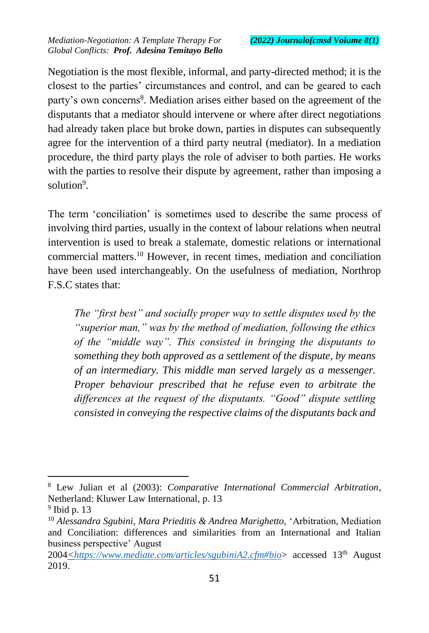Negotiation is the most flexible, informal, and party-directed method; it is the closest to the parties' circumstances and control, and can be geared to each party's own concerns<sup>8</sup>. Mediation arises either based on the agreement of the disputants that a mediator should intervene or where after direct negotiations had already taken place but broke down, parties in disputes can subsequently agree for the intervention of a third party neutral (mediator). In a mediation procedure, the third party plays the role of adviser to both parties. He works with the parties to resolve their dispute by agreement, rather than imposing a solution<sup>9</sup>.

The term 'conciliation' is sometimes used to describe the same process of involving third parties, usually in the context of labour relations when neutral intervention is used to break a stalemate, domestic relations or international commercial matters.<sup>10</sup> However, in recent times, mediation and conciliation have been used interchangeably. On the usefulness of mediation, Northrop F.S.C states that:

*The "first best" and socially proper way to settle disputes used by the "superior man," was by the method of mediation, following the ethics of the "middle way". This consisted in bringing the disputants to something they both approved as a settlement of the dispute, by means of an intermediary. This middle man served largely as a messenger. Proper behaviour prescribed that he refuse even to arbitrate the differences at the request of the disputants. "Good" dispute settling consisted in conveying the respective claims of the disputants back and* 

<sup>8</sup> Lew Julian et al (2003): *Comparative International Commercial Arbitration*, Netherland: Kluwer Law International, p. 13

 $9$  Ibid p. 13

<sup>10</sup> *Alessandra Sgubini, Mara Prieditis & Andrea Marighetto,* 'Arbitration, Mediation and Conciliation: differences and similarities from an International and Italian business perspective' August

<sup>2004</sup>*<https://www.mediate.com/articles/sgubiniA2.cfm#bio*> accessed 13th August 2019.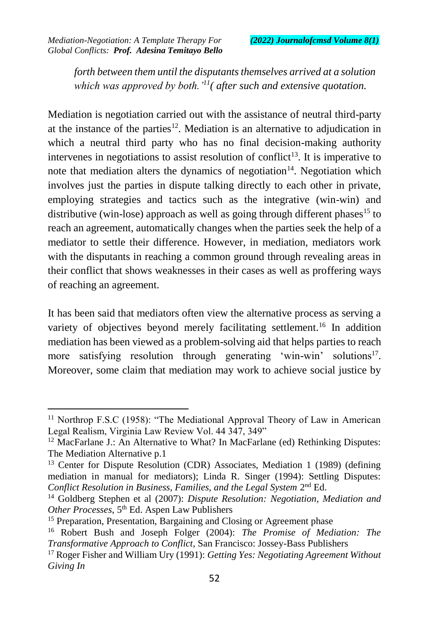$\overline{a}$ 

*forth between them until the disputants themselves arrived at a solution which was approved by both.'<sup>11</sup>( after such and extensive quotation.*

Mediation is negotiation carried out with the assistance of neutral third-party at the instance of the parties<sup>12</sup>. Mediation is an alternative to adjudication in which a neutral third party who has no final decision-making authority intervenes in negotiations to assist resolution of conflict<sup>13</sup>. It is imperative to note that mediation alters the dynamics of negotiation<sup>14</sup>. Negotiation which involves just the parties in dispute talking directly to each other in private, employing strategies and tactics such as the integrative (win-win) and distributive (win-lose) approach as well as going through different phases<sup>15</sup> to reach an agreement, automatically changes when the parties seek the help of a mediator to settle their difference. However, in mediation, mediators work with the disputants in reaching a common ground through revealing areas in their conflict that shows weaknesses in their cases as well as proffering ways of reaching an agreement.

It has been said that mediators often view the alternative process as serving a variety of objectives beyond merely facilitating settlement.<sup>16</sup> In addition mediation has been viewed as a problem-solving aid that helps parties to reach more satisfying resolution through generating 'win-win' solutions<sup>17</sup>. Moreover, some claim that mediation may work to achieve social justice by

<sup>&</sup>lt;sup>11</sup> Northrop F.S.C (1958): "The Mediational Approval Theory of Law in American Legal Realism, Virginia Law Review Vol. 44 347, 349"

<sup>&</sup>lt;sup>12</sup> MacFarlane J.: An Alternative to What? In MacFarlane (ed) Rethinking Disputes: The Mediation Alternative p.1

<sup>&</sup>lt;sup>13</sup> Center for Dispute Resolution (CDR) Associates, Mediation 1 (1989) (defining mediation in manual for mediators); Linda R. Singer (1994): Settling Disputes: Conflict Resolution in Business, Families, and the Legal System 2<sup>nd</sup> Ed.

<sup>14</sup> Goldberg Stephen et al (2007): *Dispute Resolution: Negotiation, Mediation and Other Processes*, 5th Ed. Aspen Law Publishers

<sup>&</sup>lt;sup>15</sup> Preparation, Presentation, Bargaining and Closing or Agreement phase

<sup>16</sup> Robert Bush and Joseph Folger (2004): *The Promise of Mediation: The Transformative Approach to Conflict*, San Francisco: Jossey-Bass Publishers

<sup>17</sup> Roger Fisher and William Ury (1991): *Getting Yes: Negotiating Agreement Without Giving In*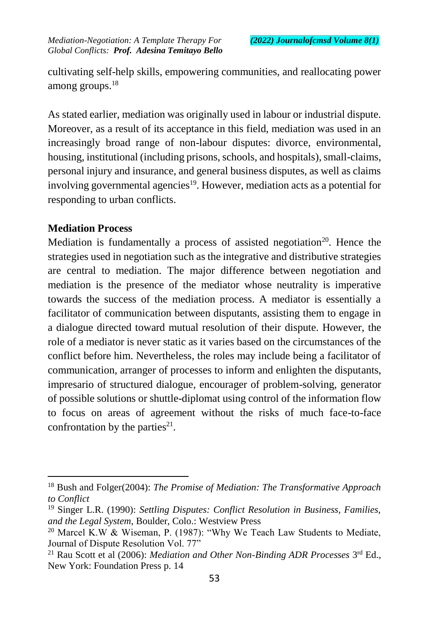cultivating self-help skills, empowering communities, and reallocating power among groups.<sup>18</sup>

As stated earlier, mediation was originally used in labour or industrial dispute. Moreover, as a result of its acceptance in this field, mediation was used in an increasingly broad range of non-labour disputes: divorce, environmental, housing, institutional (including prisons, schools, and hospitals), small-claims, personal injury and insurance, and general business disputes, as well as claims involving governmental agencies<sup>19</sup>. However, mediation acts as a potential for responding to urban conflicts.

### **Mediation Process**

 $\overline{a}$ 

Mediation is fundamentally a process of assisted negotiation<sup>20</sup>. Hence the strategies used in negotiation such as the integrative and distributive strategies are central to mediation. The major difference between negotiation and mediation is the presence of the mediator whose neutrality is imperative towards the success of the mediation process. A mediator is essentially a facilitator of communication between disputants, assisting them to engage in a dialogue directed toward mutual resolution of their dispute. However, the role of a mediator is never static as it varies based on the circumstances of the conflict before him. Nevertheless, the roles may include being a facilitator of communication, arranger of processes to inform and enlighten the disputants, impresario of structured dialogue, encourager of problem-solving, generator of possible solutions or shuttle-diplomat using control of the information flow to focus on areas of agreement without the risks of much face-to-face confrontation by the parties $21$ .

<sup>18</sup> Bush and Folger(2004): *The Promise of Mediation: The Transformative Approach to Conflict*

<sup>19</sup> Singer L.R. (1990): *Settling Disputes: Conflict Resolution in Business, Families, and the Legal System*, Boulder, Colo.: Westview Press

<sup>&</sup>lt;sup>20</sup> Marcel K.W & Wiseman, P. (1987): "Why We Teach Law Students to Mediate, Journal of Dispute Resolution Vol. 77"

<sup>&</sup>lt;sup>21</sup> Rau Scott et al (2006): *Mediation and Other Non-Binding ADR Processes* 3<sup>rd</sup> Ed., New York: Foundation Press p. 14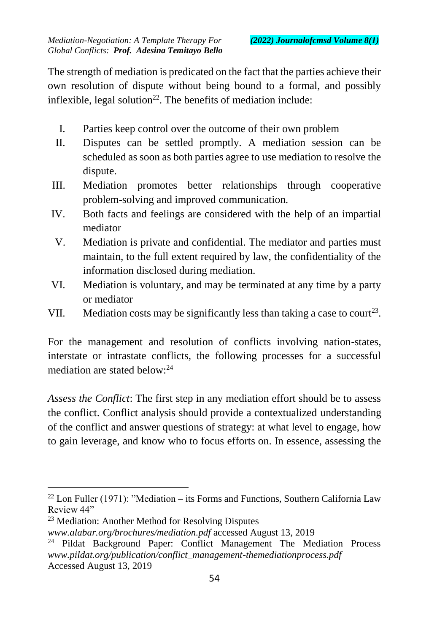The strength of mediation is predicated on the fact that the parties achieve their own resolution of dispute without being bound to a formal, and possibly inflexible, legal solution<sup>22</sup>. The benefits of mediation include:

- I. Parties keep control over the outcome of their own problem
- II. Disputes can be settled promptly. A mediation session can be scheduled as soon as both parties agree to use mediation to resolve the dispute.
- III. Mediation promotes better relationships through cooperative problem-solving and improved communication.
- IV. Both facts and feelings are considered with the help of an impartial mediator
- V. Mediation is private and confidential. The mediator and parties must maintain, to the full extent required by law, the confidentiality of the information disclosed during mediation.
- VI. Mediation is voluntary, and may be terminated at any time by a party or mediator
- VII. Mediation costs may be significantly less than taking a case to court<sup>23</sup>.

For the management and resolution of conflicts involving nation-states, interstate or intrastate conflicts, the following processes for a successful mediation are stated below:<sup>24</sup>

*Assess the Conflict*: The first step in any mediation effort should be to assess the conflict. Conflict analysis should provide a contextualized understanding of the conflict and answer questions of strategy: at what level to engage, how to gain leverage, and know who to focus efforts on. In essence, assessing the

 $22$  Lon Fuller (1971): "Mediation – its Forms and Functions, Southern California Law Review 44"

<sup>23</sup> Mediation: Another Method for Resolving Disputes

*www.alabar.org/brochures/mediation.pdf* accessed August 13, 2019

<sup>&</sup>lt;sup>24</sup> Pildat Background Paper: Conflict Management The Mediation Process *www.pildat.org/publication/conflict\_management-themediationprocess.pdf*  Accessed August 13, 2019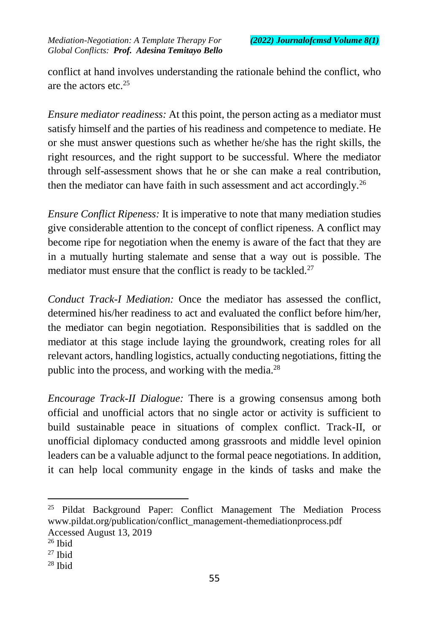conflict at hand involves understanding the rationale behind the conflict, who are the actors etc.<sup>25</sup>

*Ensure mediator readiness:* At this point, the person acting as a mediator must satisfy himself and the parties of his readiness and competence to mediate. He or she must answer questions such as whether he/she has the right skills, the right resources, and the right support to be successful. Where the mediator through self-assessment shows that he or she can make a real contribution, then the mediator can have faith in such assessment and act accordingly.<sup>26</sup>

*Ensure Conflict Ripeness:* It is imperative to note that many mediation studies give considerable attention to the concept of conflict ripeness. A conflict may become ripe for negotiation when the enemy is aware of the fact that they are in a mutually hurting stalemate and sense that a way out is possible. The mediator must ensure that the conflict is ready to be tackled. $27$ 

*Conduct Track-I Mediation:* Once the mediator has assessed the conflict, determined his/her readiness to act and evaluated the conflict before him/her, the mediator can begin negotiation. Responsibilities that is saddled on the mediator at this stage include laying the groundwork, creating roles for all relevant actors, handling logistics, actually conducting negotiations, fitting the public into the process, and working with the media.<sup>28</sup>

*Encourage Track-II Dialogue:* There is a growing consensus among both official and unofficial actors that no single actor or activity is sufficient to build sustainable peace in situations of complex conflict. Track-II, or unofficial diplomacy conducted among grassroots and middle level opinion leaders can be a valuable adjunct to the formal peace negotiations. In addition, it can help local community engage in the kinds of tasks and make the

<sup>&</sup>lt;sup>25</sup> Pildat Background Paper: Conflict Management The Mediation Process www.pildat.org/publication/conflict\_management-themediationprocess.pdf Accessed August 13, 2019

 $26$  Ibid

<sup>27</sup> Ibid

<sup>28</sup> Ibid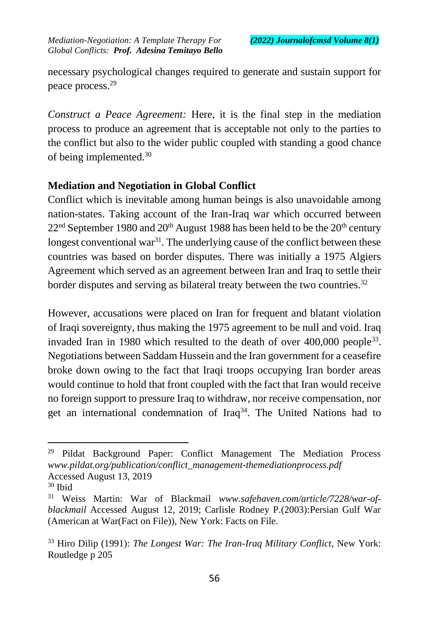necessary psychological changes required to generate and sustain support for peace process.<sup>29</sup>

*Construct a Peace Agreement:* Here, it is the final step in the mediation process to produce an agreement that is acceptable not only to the parties to the conflict but also to the wider public coupled with standing a good chance of being implemented.<sup>30</sup>

# **Mediation and Negotiation in Global Conflict**

Conflict which is inevitable among human beings is also unavoidable among nation-states. Taking account of the Iran-Iraq war which occurred between  $22<sup>nd</sup>$  September 1980 and  $20<sup>th</sup>$  August 1988 has been held to be the  $20<sup>th</sup>$  century longest conventional war $3<sup>1</sup>$ . The underlying cause of the conflict between these countries was based on border disputes. There was initially a 1975 Algiers Agreement which served as an agreement between Iran and Iraq to settle their border disputes and serving as bilateral treaty between the two countries.<sup>32</sup>

However, accusations were placed on Iran for frequent and blatant violation of Iraqi sovereignty, thus making the 1975 agreement to be null and void. Iraq invaded Iran in 1980 which resulted to the death of over  $400,000$  people<sup>33</sup>. Negotiations between Saddam Hussein and the Iran government for a ceasefire broke down owing to the fact that Iraqi troops occupying Iran border areas would continue to hold that front coupled with the fact that Iran would receive no foreign support to pressure Iraq to withdraw, nor receive compensation, nor get an international condemnation of Iraq<sup>34</sup>. The United Nations had to

<sup>&</sup>lt;sup>29</sup> Pildat Background Paper: Conflict Management The Mediation Process *www.pildat.org/publication/conflict\_management-themediationprocess.pdf*  Accessed August 13, 2019

<sup>30</sup> Ibid

<sup>31</sup> Weiss Martin: War of Blackmail *www.safehaven.com/article/7228/war-ofblackmail* Accessed August 12, 2019; Carlisle Rodney P.(2003):Persian Gulf War (American at War(Fact on File)), New York: Facts on File.

<sup>33</sup> Hiro Dilip (1991): *The Longest War: The Iran-Iraq Military Conflict*, New York: Routledge p 205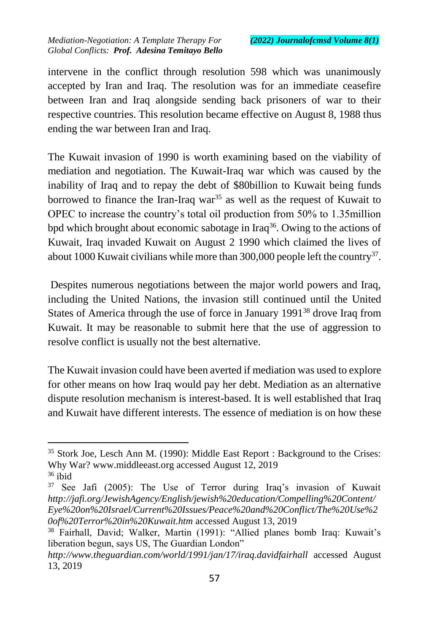$\overline{a}$ 

intervene in the conflict through resolution 598 which was unanimously accepted by Iran and Iraq. The resolution was for an immediate ceasefire between Iran and Iraq alongside sending back prisoners of war to their respective countries. This resolution became effective on August 8, 1988 thus ending the war between Iran and Iraq.

The Kuwait invasion of 1990 is worth examining based on the viability of mediation and negotiation. The Kuwait-Iraq war which was caused by the inability of Iraq and to repay the debt of \$80billion to Kuwait being funds borrowed to finance the Iran-Iraq war<sup>35</sup> as well as the request of Kuwait to OPEC to increase the country's total oil production from 50% to 1.35million bpd which brought about economic sabotage in Iraq<sup>36</sup>. Owing to the actions of Kuwait, Iraq invaded Kuwait on August 2 1990 which claimed the lives of about 1000 Kuwait civilians while more than 300,000 people left the country<sup>37</sup>.

Despites numerous negotiations between the major world powers and Iraq, including the United Nations, the invasion still continued until the United States of America through the use of force in January 1991<sup>38</sup> drove Iraq from Kuwait. It may be reasonable to submit here that the use of aggression to resolve conflict is usually not the best alternative.

The Kuwait invasion could have been averted if mediation was used to explore for other means on how Iraq would pay her debt. Mediation as an alternative dispute resolution mechanism is interest-based. It is well established that Iraq and Kuwait have different interests. The essence of mediation is on how these

<sup>35</sup> Stork Joe, Lesch Ann M. (1990): Middle East Report : Background to the Crises: Why War? www.middleeast.org accessed August 12, 2019  $36$  ibid

<sup>&</sup>lt;sup>37</sup> See Jafi (2005): The Use of Terror during Iraq's invasion of Kuwait *http://jafi.org/JewishAgency/English/jewish%20education/Compelling%20Content/ Eye%20on%20Israel/Current%20Issues/Peace%20and%20Conflict/The%20Use%2 0of%20Terror%20in%20Kuwait.htm* accessed August 13, 2019

<sup>38</sup> Fairhall, David; Walker, Martin (1991): "Allied planes bomb Iraq: Kuwait's liberation begun, says US, The Guardian London"

*http://www.theguardian.com/world/1991/jan/17/iraq.davidfairhall* accessed August 13, 2019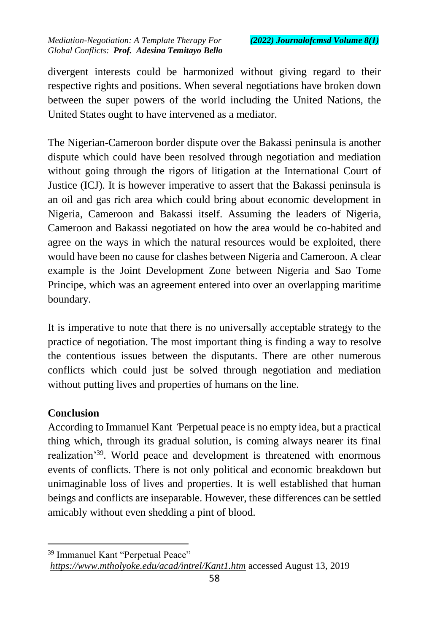divergent interests could be harmonized without giving regard to their respective rights and positions. When several negotiations have broken down between the super powers of the world including the United Nations, the United States ought to have intervened as a mediator.

The Nigerian-Cameroon border dispute over the Bakassi peninsula is another dispute which could have been resolved through negotiation and mediation without going through the rigors of litigation at the International Court of Justice (ICJ). It is however imperative to assert that the Bakassi peninsula is an oil and gas rich area which could bring about economic development in Nigeria, Cameroon and Bakassi itself. Assuming the leaders of Nigeria, Cameroon and Bakassi negotiated on how the area would be co-habited and agree on the ways in which the natural resources would be exploited, there would have been no cause for clashes between Nigeria and Cameroon. A clear example is the Joint Development Zone between Nigeria and Sao Tome Principe, which was an agreement entered into over an overlapping maritime boundary.

It is imperative to note that there is no universally acceptable strategy to the practice of negotiation. The most important thing is finding a way to resolve the contentious issues between the disputants. There are other numerous conflicts which could just be solved through negotiation and mediation without putting lives and properties of humans on the line.

# **Conclusion**

 $\overline{a}$ 

According to Immanuel Kant *'*Perpetual peace is no empty idea, but a practical thing which, through its gradual solution, is coming always nearer its final realization'<sup>39</sup>. World peace and development is threatened with enormous events of conflicts. There is not only political and economic breakdown but unimaginable loss of lives and properties. It is well established that human beings and conflicts are inseparable. However, these differences can be settled amicably without even shedding a pint of blood.

<sup>39</sup> Immanuel Kant "Perpetual Peace"

*https://www.mtholyoke.edu/acad/intrel/Kant1.htm* accessed August 13, 2019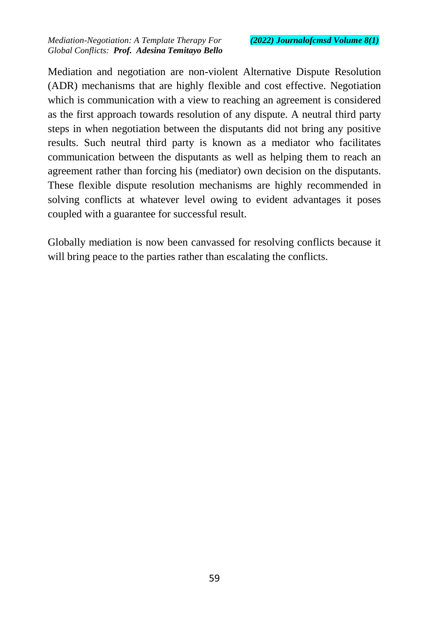Mediation and negotiation are non-violent Alternative Dispute Resolution (ADR) mechanisms that are highly flexible and cost effective. Negotiation which is communication with a view to reaching an agreement is considered as the first approach towards resolution of any dispute. A neutral third party steps in when negotiation between the disputants did not bring any positive results. Such neutral third party is known as a mediator who facilitates communication between the disputants as well as helping them to reach an agreement rather than forcing his (mediator) own decision on the disputants. These flexible dispute resolution mechanisms are highly recommended in solving conflicts at whatever level owing to evident advantages it poses coupled with a guarantee for successful result.

Globally mediation is now been canvassed for resolving conflicts because it will bring peace to the parties rather than escalating the conflicts.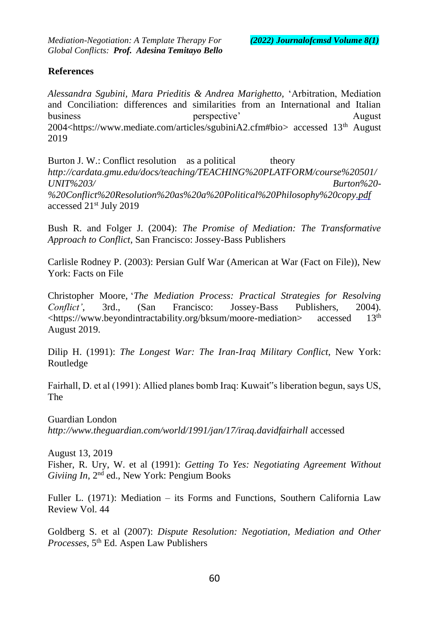#### **References**

*Alessandra Sgubini, Mara Prieditis & Andrea Marighetto,* 'Arbitration, Mediation and Conciliation: differences and similarities from an International and Italian business perspective' August August August 2014 2004<https://www.mediate.com/articles/sgubiniA2.cfm#bio> accessed 13th August 2019

Burton J. W.: Conflict resolution as a political theory *http://cardata.gmu.edu/docs/teaching/TEACHING%20PLATFORM/course%20501/ UNIT%203/ [Burton%20-](http://cardata.gmu.edu/docs/teaching/TEACHING%20PLATFORM/course%20501/UNIT%203/Burton%20-%20Conflict%20Resolution%20as%20a%20Political%20Philosophy%20copy.pdf) %20Conflict%20Resolution%20as%20a%20Political%20Philosophy%20copy.p[df](http://cardata.gmu.edu/docs/teaching/TEACHING%20PLATFORM/course%20501/UNIT%203/Burton%20-%20Conflict%20Resolution%20as%20a%20Political%20Philosophy%20copy.pdf)* accessed 21st July 2019

Bush R. and Folger J. (2004): *The Promise of Mediation: The Transformative Approach to Conflict*, San Francisco: Jossey-Bass Publishers

Carlisle Rodney P. (2003): Persian Gulf War (American at War (Fact on File)), New York: Facts on File

Christopher Moore, '*The Mediation Process: Practical Strategies for Resolving Conflict'*, 3rd., (San Francisco: Jossey-Bass Publishers, 2004). <https://www.beyondintractability.org/bksum/moore-mediation> accessed 13th August 2019.

Dilip H. (1991): *The Longest War: The Iran-Iraq Military Conflict*, New York: Routledge

Fairhall, D. et al (1991): Allied planes bomb Iraq: Kuwait"s liberation begun, says US, The

Guardian London *http://www.theguardian.com/world/1991/jan/17/iraq.davidfairhal[l](http://www.theguardian.com/world/1991/jan/17/iraq.davidfairhall)* accessed

August 13, 2019 Fisher, R. Ury, W. et al (1991): *Getting To Yes: Negotiating Agreement Without Giviing In*, 2nd ed., New York: Pengium Books

Fuller L. (1971): Mediation – its Forms and Functions, Southern California Law Review Vol. 44

Goldberg S. et al (2007): *Dispute Resolution: Negotiation, Mediation and Other Processes*, 5th Ed. Aspen Law Publishers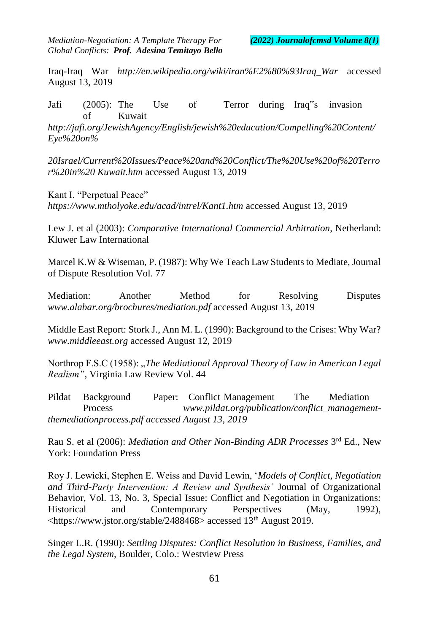Iraq-Iraq War *http://en.wikipedia.org/wiki/iran%E2%80%93Iraq\_War* [a](http://en.wikipedia.org/wiki/iran%E2%80%93Iraq_War)ccessed August 13, 2019

Jafi (2005): The Use of Terror during Iraq"s invasion of Kuwait

*http://jafi.org/JewishAgency/English/jewish%20education/Compelling%20Content/ Eye%20on%*

*20Israel/Current%20Issues/Peace%20and%20Conflict/The%20Use%20of%20Terro r%20in%20 [Kuwait.htm](http://jafi.org/JewishAgency/English/jewish%20education/Compelling%20Content/Eye%20on%20Israel/Current%20Issues/Peace%20and%20Conflict/The%20Use%20of%20Terror%20in%20Kuwait.htm)* [a](http://jafi.org/JewishAgency/English/jewish%20education/Compelling%20Content/Eye%20on%20Israel/Current%20Issues/Peace%20and%20Conflict/The%20Use%20of%20Terror%20in%20Kuwait.htm)ccessed August 13, 2019

Kant I. "Perpetual Peace" *https://www.mtholyoke.edu/acad/intrel/Kant1.htm* [a](https://www.mtholyoke.edu/acad/intrel/Kant1.htm)ccessed August 13, 2019

Lew J. et al (2003): *Comparative International Commercial Arbitration*, Netherland: Kluwer Law International

Marcel K.W & Wiseman, P. (1987): Why We Teach Law Students to Mediate, Journal of Dispute Resolution Vol. 77

Mediation: Another Method for Resolving Disputes *www.alabar.org/brochures/mediation.pdf* [a](http://www.alabar.org/brochures/mediation.pdf)ccessed August 13, 2019

Middle East Report: Stork J., Ann M. L. (1990): Background to the Crises: Why War? *[www.middleeast.org](http://www.middleeast.org/)* [a](http://www.middleeast.org/)ccessed August 12, 2019

Northrop F.S.C (1958): "*The Mediational Approval Theory of Law in American Legal Realism"*, Virginia Law Review Vol. 44

Pildat Background Paper: Conflict Management The Mediation Process *www.pildat.org/publication/conflict\_managemen[t](http://www.pildat.org/publication/conflict_management-themediationprocess.pdf%20accessed%20August%2013)[themediationprocess.pdf accessed August 13,](http://www.pildat.org/publication/conflict_management-themediationprocess.pdf%20accessed%20August%2013) 2019*

Rau S. et al (2006): *Mediation and Other Non-Binding ADR Processes* 3<sup>rd</sup> Ed., New York: Foundation Press

Roy J. Lewicki, Stephen E. Weiss and David Lewin, '*Models of Conflict, Negotiation and Third-Party Intervention: A Review and Synthesis'* Journal of Organizational Behavior, Vol. 13, No. 3, Special Issue: Conflict and Negotiation in Organizations: Historical and Contemporary Perspectives (May, 1992),  $\lt$ https://www.jstor.org/stable/2488468> accessed 13<sup>th</sup> August 2019.

Singer L.R. (1990): *Settling Disputes: Conflict Resolution in Business, Families, and the Legal System,* Boulder, Colo.: Westview Press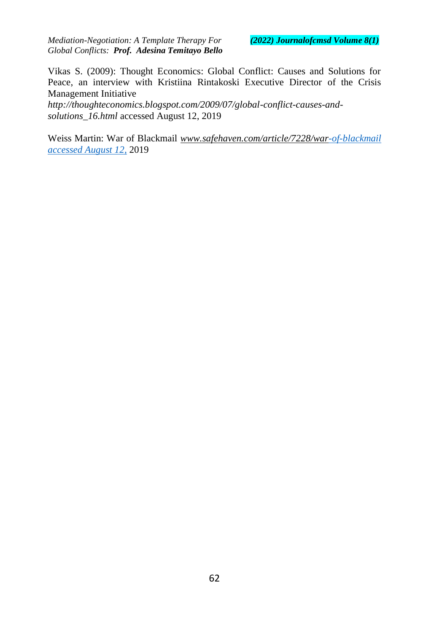Vikas S. (2009): Thought Economics: Global Conflict: Causes and Solutions for Peace, an interview with Kristiina Rintakoski Executive Director of the Crisis Management Initiative

*http://thoughteconomics.blogspot.com/2009/07/globa[l-conflict-causes-and](http://thoughteconomics.blogspot.com/2009/07/global-conflict-causes-and-solutions_16.html)[solutions\\_16.html](http://thoughteconomics.blogspot.com/2009/07/global-conflict-causes-and-solutions_16.html)* accessed August 12, 2019

Weiss Martin: War of Blackmail *www.safehaven.com/article/7228/wa[r-of-blackmail](http://www.safehaven.com/article/7228/war-of-blackmail%20accessed%20August%2012)  [accessed](http://www.safehaven.com/article/7228/war-of-blackmail%20accessed%20August%2012) [August 12](http://www.safehaven.com/article/7228/war-of-blackmail%20accessed%20August%2012)*[,](http://www.safehaven.com/article/7228/war-of-blackmail%20accessed%20August%2012) 2019